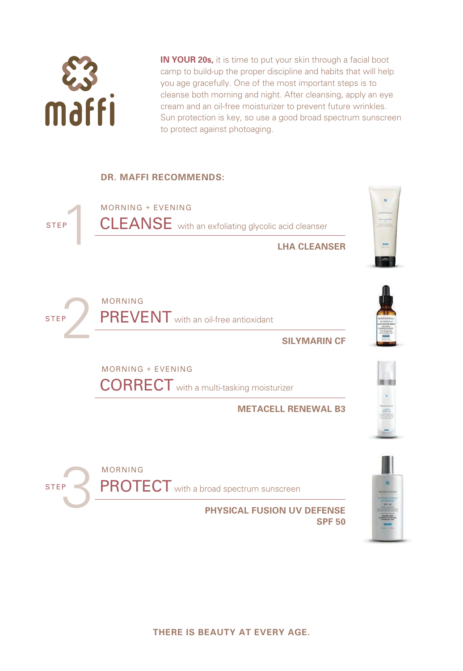

**IN YOUR 20s,** it is time to put your skin through a facial boot camp to build-up the proper discipline and habits that will help you age gracefully. One of the most important steps is to cleanse both morning and night. After cleansing, apply an eye cream and an oil-free moisturizer to prevent future wrinkles. Sun protection is key, so use a good broad spectrum sunscreen to protect against photoaging.

# **DR. MAFFI RECOMMENDS:**



**PHYSICAL FUSION UV DEFENSE SPF 50**